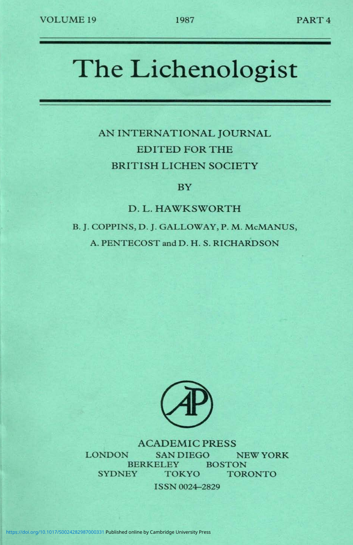# The Lichenologist

## AN INTERNATIONAL JOURNAL EDITED FOR THE BRITISH LICHEN SOCIETY

### **BY**

## D. L. HAWKSWORTH

B. J. COPPINS, D. J. GALLOWAY, P. M. McMANUS, A. PENTECOST and D. H. S. RICHARDSON



ACADEMIC PRESS<br>SAN DIEGO NEW YORK LONDON SAN DIEGO NEW RERKELEY BOSTON BERKELEY BOSTON<br>SYDNEY TOKYO TORONTO SIDNEY TOKYO TORONTO

ISSN 0024-2829